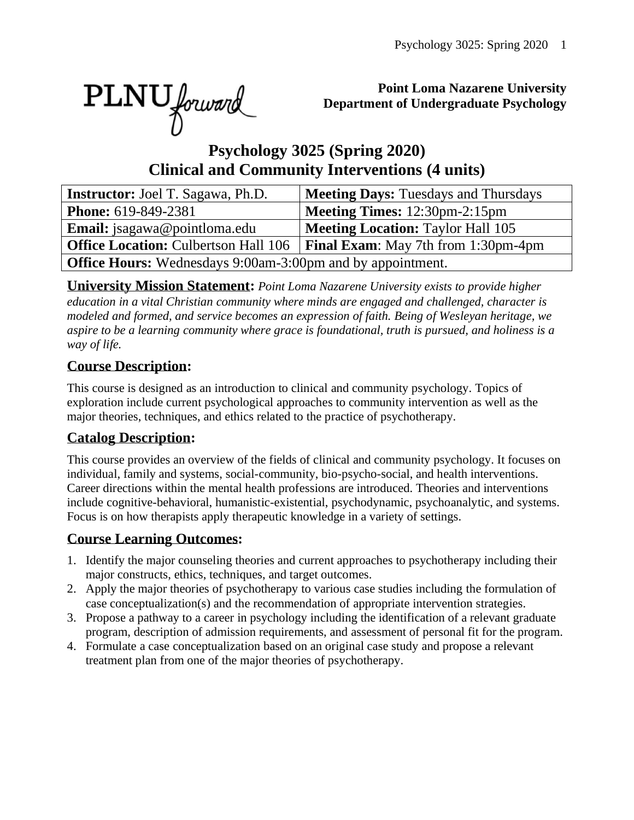PLNU forward

#### **Point Loma Nazarene University Department of Undergraduate Psychology**

# **Psychology 3025 (Spring 2020) Clinical and Community Interventions (4 units)**

| <b>Instructor:</b> Joel T. Sagawa, Ph.D.                          | <b>Meeting Days: Tuesdays and Thursdays</b> |  |  |  |  |  |  |
|-------------------------------------------------------------------|---------------------------------------------|--|--|--|--|--|--|
| <b>Phone:</b> 619-849-2381                                        | <b>Meeting Times:</b> 12:30pm-2:15pm        |  |  |  |  |  |  |
| Email: jsagawa@pointloma.edu                                      | <b>Meeting Location: Taylor Hall 105</b>    |  |  |  |  |  |  |
| <b>Office Location: Culbertson Hall 106</b>                       | <b>Final Exam:</b> May 7th from 1:30pm-4pm  |  |  |  |  |  |  |
| <b>Office Hours:</b> Wednesdays 9:00am-3:00pm and by appointment. |                                             |  |  |  |  |  |  |

**University Mission Statement:** *Point Loma Nazarene University exists to provide higher education in a vital Christian community where minds are engaged and challenged, character is modeled and formed, and service becomes an expression of faith. Being of Wesleyan heritage, we aspire to be a learning community where grace is foundational, truth is pursued, and holiness is a way of life.*

# **Course Description:**

This course is designed as an introduction to clinical and community psychology. Topics of exploration include current psychological approaches to community intervention as well as the major theories, techniques, and ethics related to the practice of psychotherapy.

# **Catalog Description:**

This course provides an overview of the fields of clinical and community psychology. It focuses on individual, family and systems, social-community, bio-psycho-social, and health interventions. Career directions within the mental health professions are introduced. Theories and interventions include cognitive-behavioral, humanistic-existential, psychodynamic, psychoanalytic, and systems. Focus is on how therapists apply therapeutic knowledge in a variety of settings.

#### **Course Learning Outcomes:**

- 1. Identify the major counseling theories and current approaches to psychotherapy including their major constructs, ethics, techniques, and target outcomes.
- 2. Apply the major theories of psychotherapy to various case studies including the formulation of case conceptualization(s) and the recommendation of appropriate intervention strategies.
- 3. Propose a pathway to a career in psychology including the identification of a relevant graduate program, description of admission requirements, and assessment of personal fit for the program.
- 4. Formulate a case conceptualization based on an original case study and propose a relevant treatment plan from one of the major theories of psychotherapy.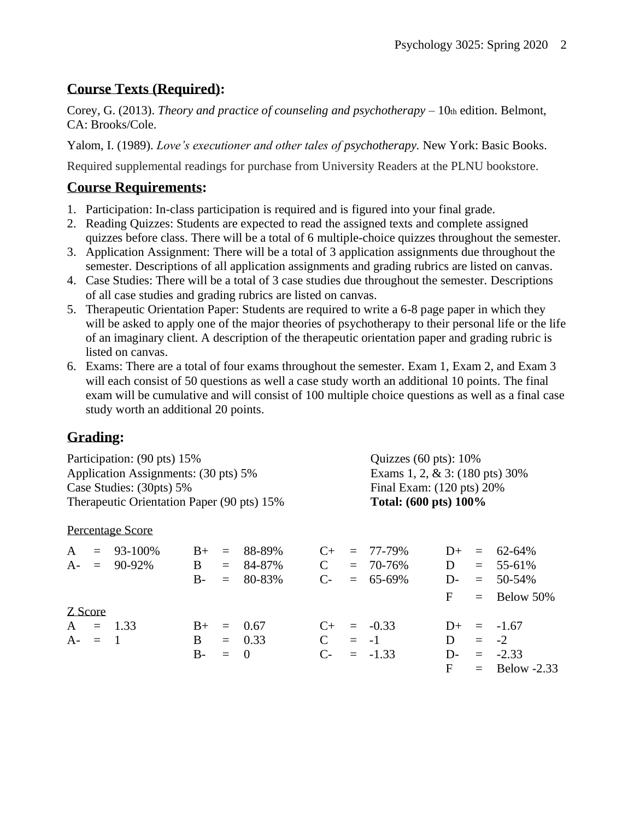### **Course Texts (Required):**

Corey, G. (2013). *Theory and practice of counseling and psychotherapy* – 10th edition. Belmont, CA: Brooks/Cole.

Yalom, I. (1989). *Love's executioner and other tales of psychotherapy.* New York: Basic Books.

Required supplemental readings for purchase from University Readers at the PLNU bookstore.

#### **Course Requirements:**

- 1. Participation: In-class participation is required and is figured into your final grade.
- 2. Reading Quizzes: Students are expected to read the assigned texts and complete assigned quizzes before class. There will be a total of 6 multiple-choice quizzes throughout the semester.
- 3. Application Assignment: There will be a total of 3 application assignments due throughout the semester. Descriptions of all application assignments and grading rubrics are listed on canvas.
- 4. Case Studies: There will be a total of 3 case studies due throughout the semester. Descriptions of all case studies and grading rubrics are listed on canvas.
- 5. Therapeutic Orientation Paper: Students are required to write a 6-8 page paper in which they will be asked to apply one of the major theories of psychotherapy to their personal life or the life of an imaginary client. A description of the therapeutic orientation paper and grading rubric is listed on canvas.
- 6. Exams: There are a total of four exams throughout the semester. Exam 1, Exam 2, and Exam 3 will each consist of 50 questions as well a case study worth an additional 10 points. The final exam will be cumulative and will consist of 100 multiple choice questions as well as a final case study worth an additional 20 points.

# **Grading:**

| Participation: (90 pts) 15%<br>Application Assignments: (30 pts) 5%<br>Case Studies: (30pts) 5%<br>Therapeutic Orientation Paper (90 pts) 15% |  |                 |              |          |             |              | Quizzes $(60 \text{ pts})$ : 10%                                                               |               |       |     |                 |  |                  |      |     |        |           |  |               |      |  |               |
|-----------------------------------------------------------------------------------------------------------------------------------------------|--|-----------------|--------------|----------|-------------|--------------|------------------------------------------------------------------------------------------------|---------------|-------|-----|-----------------|--|------------------|------|-----|--------|-----------|--|---------------|------|--|---------------|
|                                                                                                                                               |  |                 |              |          |             |              | Exams 1, 2, & 3: $(180 \text{ pts})$ 30%<br>Final Exam: (120 pts) 20%<br>Total: (600 pts) 100% |               |       |     |                 |  |                  |      |     |        |           |  |               |      |  |               |
|                                                                                                                                               |  |                 |              |          |             |              |                                                                                                |               |       |     |                 |  | Percentage Score |      |     |        |           |  |               |      |  |               |
|                                                                                                                                               |  |                 |              |          |             |              |                                                                                                |               |       |     |                 |  | $A = 93-100\%$   | $B+$ | $=$ | 88-89% | $C_{\pm}$ |  | $= 77 - 79\%$ | $D+$ |  | $= 62 - 64\%$ |
|                                                                                                                                               |  | $A - = 90-92\%$ | $\mathbf{B}$ |          | $= 84-87\%$ | $\mathbf{C}$ |                                                                                                | $= 70 - 76\%$ | D     |     | $= 55-61\%$     |  |                  |      |     |        |           |  |               |      |  |               |
|                                                                                                                                               |  |                 | $B -$        | $\equiv$ | 80-83%      | $C_{\tau}$   |                                                                                                | $= 65-69\%$   | $D$ - | $=$ | 50-54%          |  |                  |      |     |        |           |  |               |      |  |               |
|                                                                                                                                               |  |                 |              |          |             |              |                                                                                                |               | F     | $=$ | Below 50%       |  |                  |      |     |        |           |  |               |      |  |               |
| Z Score                                                                                                                                       |  |                 |              |          |             |              |                                                                                                |               |       |     |                 |  |                  |      |     |        |           |  |               |      |  |               |
|                                                                                                                                               |  | $A = 1.33$      | $B+$         | $=$      | 0.67        | $C_{\pm}$    |                                                                                                | $= -0.33$     | $D+$  |     | $=$ -1.67       |  |                  |      |     |        |           |  |               |      |  |               |
| $A - = 1$                                                                                                                                     |  |                 | B.           |          | $= 0.33$    | $\mathbf C$  |                                                                                                | $= -1$        | D     |     | $= -2$          |  |                  |      |     |        |           |  |               |      |  |               |
|                                                                                                                                               |  |                 | $B-$         | $=$      | $\Omega$    | $C$ -        |                                                                                                | $= -1.33$     | D-    |     | $= -2.33$       |  |                  |      |     |        |           |  |               |      |  |               |
|                                                                                                                                               |  |                 |              |          |             |              |                                                                                                |               | F     |     | $=$ Below -2.33 |  |                  |      |     |        |           |  |               |      |  |               |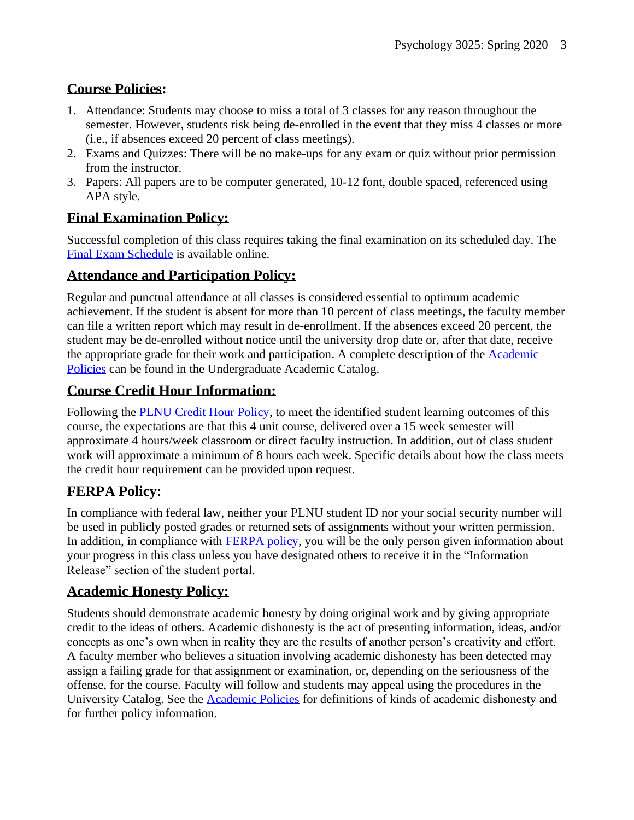# **Course Policies:**

- 1. Attendance: Students may choose to miss a total of 3 classes for any reason throughout the semester. However, students risk being de-enrolled in the event that they miss 4 classes or more (i.e., if absences exceed 20 percent of class meetings).
- 2. Exams and Quizzes: There will be no make-ups for any exam or quiz without prior permission from the instructor.
- 3. Papers: All papers are to be computer generated, 10-12 font, double spaced, referenced using APA style.

## **Final Examination Policy:**

Successful completion of this class requires taking the final examination on its scheduled day. The [Final Exam Schedule](http://www.pointloma.edu/experience/academics/class-schedules) is available online.

#### **Attendance and Participation Policy:**

Regular and punctual attendance at all classes is considered essential to optimum academic achievement. If the student is absent for more than 10 percent of class meetings, the faculty member can file a written report which may result in de-enrollment. If the absences exceed 20 percent, the student may be de-enrolled without notice until the university drop date or, after that date, receive the appropriate grade for their work and participation. A complete description of the [Academic](https://catalog.pointloma.edu/content.php?catoid=18&navoid=1278#Class_Attendance)  [Policies](https://catalog.pointloma.edu/content.php?catoid=18&navoid=1278#Class_Attendance) can be found in the Undergraduate Academic Catalog.

## **Course Credit Hour Information:**

Following the [PLNU Credit Hour Policy,](http://catalog.pointloma.edu/content.php?catoid=18&navoid=1278#Credit_Hour_Definition) to meet the identified student learning outcomes of this course, the expectations are that this 4 unit course, delivered over a 15 week semester will approximate 4 hours/week classroom or direct faculty instruction. In addition, out of class student work will approximate a minimum of 8 hours each week. Specific details about how the class meets the credit hour requirement can be provided upon request.

#### **FERPA Policy:**

In compliance with federal law, neither your PLNU student ID nor your social security number will be used in publicly posted grades or returned sets of assignments without your written permission. In addition, in compliance with **FERPA** policy, you will be the only person given information about your progress in this class unless you have designated others to receive it in the "Information Release" section of the student portal.

#### **Academic Honesty Policy:**

Students should demonstrate academic honesty by doing original work and by giving appropriate credit to the ideas of others. Academic dishonesty is the act of presenting information, ideas, and/or concepts as one's own when in reality they are the results of another person's creativity and effort. A faculty member who believes a situation involving academic dishonesty has been detected may assign a failing grade for that assignment or examination, or, depending on the seriousness of the offense, for the course. Faculty will follow and students may appeal using the procedures in the University Catalog. See the [Academic Policies](https://catalog.pointloma.edu/content.php?catoid=18&navoid=1278#Academic_Honesty) for definitions of kinds of academic dishonesty and for further policy information.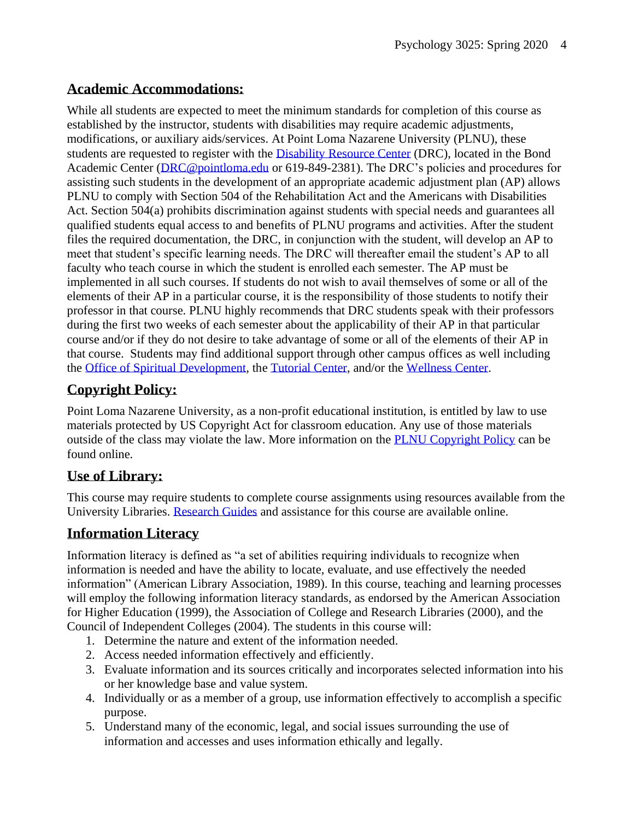#### **Academic Accommodations:**

While all students are expected to meet the minimum standards for completion of this course as established by the instructor, students with disabilities may require academic adjustments, modifications, or auxiliary aids/services. At Point Loma Nazarene University (PLNU), these students are requested to register with the [Disability Resource Center](http://www.pointloma.edu/experience/offices/administrative-offices/academic-advising-office/disability-resource-center) (DRC), located in the Bond Academic Center [\(DRC@pointloma.edu](mailto:DRC@pointloma.edu) or 619-849-2381). The DRC's policies and procedures for assisting such students in the development of an appropriate academic adjustment plan (AP) allows PLNU to comply with Section 504 of the Rehabilitation Act and the Americans with Disabilities Act. Section 504(a) prohibits discrimination against students with special needs and guarantees all qualified students equal access to and benefits of PLNU programs and activities. After the student files the required documentation, the DRC, in conjunction with the student, will develop an AP to meet that student's specific learning needs. The DRC will thereafter email the student's AP to all faculty who teach course in which the student is enrolled each semester. The AP must be implemented in all such courses. If students do not wish to avail themselves of some or all of the elements of their AP in a particular course, it is the responsibility of those students to notify their professor in that course. PLNU highly recommends that DRC students speak with their professors during the first two weeks of each semester about the applicability of their AP in that particular course and/or if they do not desire to take advantage of some or all of the elements of their AP in that course. Students may find additional support through other campus offices as well including the [Office of Spiritual Development,](https://www.pointloma.edu/offices/spiritual-development) the [Tutorial Center,](https://www.pointloma.edu/offices/tutorial-services) and/or the [Wellness Center.](https://www.pointloma.edu/offices/wellness-center)

# **Copyright Policy:**

Point Loma Nazarene University, as a non-profit educational institution, is entitled by law to use materials protected by US Copyright Act for classroom education. Any use of those materials outside of the class may violate the law. More information on the [PLNU Copyright Policy](http://libguides.pointloma.edu/content.php?pid=203591&sid=1700398) can be found online.

#### **Use of Library:**

This course may require students to complete course assignments using resources available from the University Libraries. [Research Guides](http://libguides.pointloma.edu/ResearchGuides) and assistance for this course are available online.

#### **Information Literacy**

Information literacy is defined as "a set of abilities requiring individuals to recognize when information is needed and have the ability to locate, evaluate, and use effectively the needed information" (American Library Association, 1989). In this course, teaching and learning processes will employ the following information literacy standards, as endorsed by the American Association for Higher Education (1999), the Association of College and Research Libraries (2000), and the Council of Independent Colleges (2004). The students in this course will:

- 1. Determine the nature and extent of the information needed.
- 2. Access needed information effectively and efficiently.
- 3. Evaluate information and its sources critically and incorporates selected information into his or her knowledge base and value system.
- 4. Individually or as a member of a group, use information effectively to accomplish a specific purpose.
- 5. Understand many of the economic, legal, and social issues surrounding the use of information and accesses and uses information ethically and legally.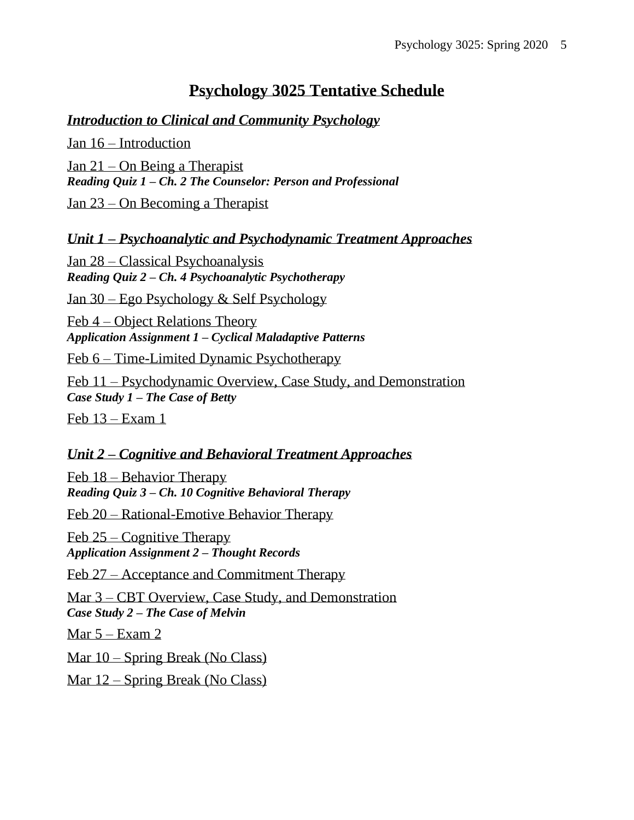# **Psychology 3025 Tentative Schedule**

#### *Introduction to Clinical and Community Psychology*

Jan 16 – Introduction Jan 21 – On Being a Therapist *Reading Quiz 1 – Ch. 2 The Counselor: Person and Professional*

Jan 23 – On Becoming a Therapist

*Unit 1 – Psychoanalytic and Psychodynamic Treatment Approaches*

Jan 28 – Classical Psychoanalysis *Reading Quiz 2 – Ch. 4 Psychoanalytic Psychotherapy*

Jan 30 – Ego Psychology & Self Psychology

Feb 4 – Object Relations Theory *Application Assignment 1 – Cyclical Maladaptive Patterns*

Feb 6 – Time-Limited Dynamic Psychotherapy

Feb 11 – Psychodynamic Overview, Case Study, and Demonstration *Case Study 1 – The Case of Betty*

Feb 13 – Exam 1

#### *Unit 2 – Cognitive and Behavioral Treatment Approaches*

Feb 18 – Behavior Therapy *Reading Quiz 3 – Ch. 10 Cognitive Behavioral Therapy*

Feb 20 – Rational-Emotive Behavior Therapy

Feb 25 – Cognitive Therapy *Application Assignment 2 – Thought Records*

Feb 27 – Acceptance and Commitment Therapy

Mar 3 – CBT Overview, Case Study, and Demonstration *Case Study 2 – The Case of Melvin*

Mar  $5 -$ Exam 2

Mar 10 – Spring Break (No Class)

Mar 12 – Spring Break (No Class)